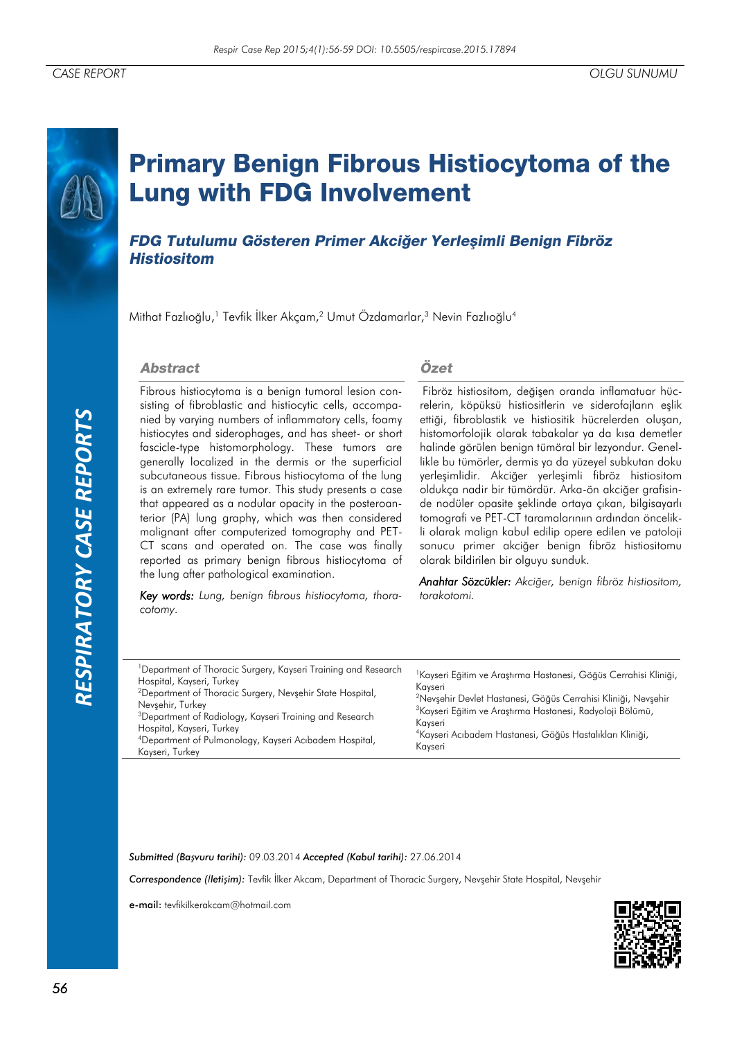# **Primary Benign Fibrous Histiocytoma of the Lung with FDG Involvement**

FDG Tutulumu Gösteren Primer Akciğer Yerleşimli Benign Fibröz **Histiositom** 

Mithat Fazlıoğlu,<sup>1</sup> Tevfik İlker Akçam,<sup>2</sup> Umut Özdamarlar,<sup>3</sup> Nevin Fazlıoğlu<sup>4</sup>

#### **Abstract**

Fibrous histiocytoma is a benign tumoral lesion consisting of fibroblastic and histiocytic cells, accompanied by varying numbers of inflammatory cells, foamy histiocytes and siderophages, and has sheet- or short fascicle-type histomorphology. These tumors are generally localized in the dermis or the superficial subcutaneous tissue. Fibrous histiocytoma of the lung is an extremely rare tumor. This study presents a case that appeared as a nodular opacity in the posteroanterior (PA) lung graphy, which was then considered malignant after computerized tomography and PET-CT scans and operated on. The case was finally reported as primary benign fibrous histiocytoma of the lung after pathological examination.

*Key words: Lung, benign fibrous histiocytoma, thoracotomy.*

#### Özet

Fibröz histiositom, değişen oranda inflamatuar hücrelerin, köpüksü histiositlerin ve siderofajların eşlik ettiği, fibroblastik ve histiositik hücrelerden oluşan, histomorfolojik olarak tabakalar ya da kısa demetler halinde görülen benign tümöral bir lezyondur. Genellikle bu tümörler, dermis ya da yüzeyel subkutan doku yerleşimlidir. Akciğer yerleşimli fibröz histiositom oldukça nadir bir tümördür. Arka-ön akciğer grafisinde nodüler opasite şeklinde ortaya çıkan, bilgisayarlı tomografi ve PET-CT taramalarınıın ardından öncelikli olarak malign kabul edilip opere edilen ve patoloji sonucu primer akciğer benign fibröz histiositomu olarak bildirilen bir olguyu sunduk.

*Anahtar Sözcükler: Akciğer, benign fibröz histiositom, torakotomi.* 

| <sup>1</sup> Department of Thoracic Surgery, Kayseri Training and Research<br>Hospital, Kayseri, Turkey<br>Kavseri<br><sup>2</sup> Department of Thoracic Surgery, Nevsehir State Hospital,<br>Nevsehir, Turkey<br><sup>3</sup> Department of Radiology, Kayseri Training and Research<br>Kavseri<br>Hospital, Kayseri, Turkey<br><sup>4</sup> Department of Pulmonology, Kayseri Acibadem Hospital,<br>Kavseri<br>Kayseri, Turkey | <sup>1</sup> Kayseri Eğitim ve Araştırma Hastanesi, Göğüs Cerrahisi Kliniği,<br><sup>2</sup> Nevsehir Devlet Hastanesi, Göğüs Cerrahisi Kliniği, Nevsehir<br><sup>3</sup> Kayseri Eğitim ve Araştırma Hastanesi, Radyoloji Bölümü,<br><sup>4</sup> Kayseri Acıbadem Hastanesi, Göğüs Hastalıkları Kliniği, |
|------------------------------------------------------------------------------------------------------------------------------------------------------------------------------------------------------------------------------------------------------------------------------------------------------------------------------------------------------------------------------------------------------------------------------------|------------------------------------------------------------------------------------------------------------------------------------------------------------------------------------------------------------------------------------------------------------------------------------------------------------|
|------------------------------------------------------------------------------------------------------------------------------------------------------------------------------------------------------------------------------------------------------------------------------------------------------------------------------------------------------------------------------------------------------------------------------------|------------------------------------------------------------------------------------------------------------------------------------------------------------------------------------------------------------------------------------------------------------------------------------------------------------|

*Submitted (Başvuru tarihi):* 09.03.2014 *Accepted (Kabul tarihi):* 27.06.2014

*Correspondence (İletişim):* Tevfik İlker Akcam, Department of Thoracic Surgery, Nevşehir State Hospital, Nevşehir

e-mail: tevfikilkerakcam@hotmail.com

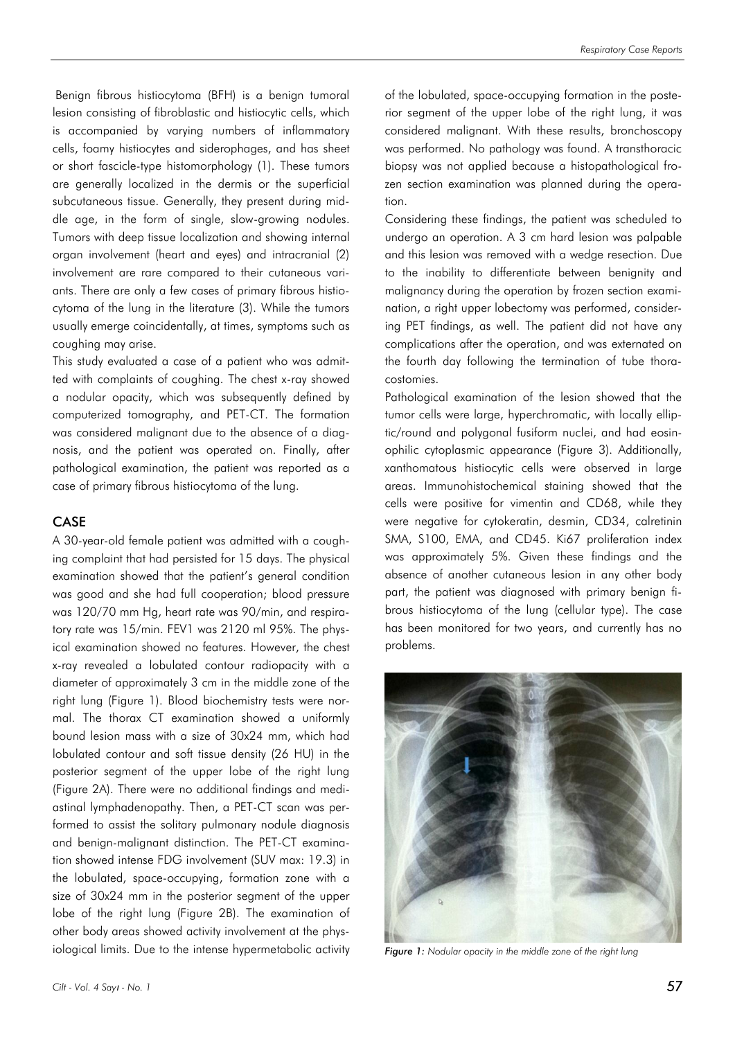Benign fibrous histiocytoma (BFH) is a benign tumoral lesion consisting of fibroblastic and histiocytic cells, which is accompanied by varying numbers of inflammatory cells, foamy histiocytes and siderophages, and has sheet or short fascicle-type histomorphology (1). These tumors are generally localized in the dermis or the superficial subcutaneous tissue. Generally, they present during middle age, in the form of single, slow-growing nodules. Tumors with deep tissue localization and showing internal organ involvement (heart and eyes) and intracranial (2) involvement are rare compared to their cutaneous variants. There are only a few cases of primary fibrous histiocytoma of the lung in the literature (3). While the tumors usually emerge coincidentally, at times, symptoms such as coughing may arise.

This study evaluated a case of a patient who was admitted with complaints of coughing. The chest x-ray showed a nodular opacity, which was subsequently defined by computerized tomography, and PET-CT. The formation was considered malignant due to the absence of a diagnosis, and the patient was operated on. Finally, after pathological examination, the patient was reported as a case of primary fibrous histiocytoma of the lung.

#### CASE

A 30-year-old female patient was admitted with a coughing complaint that had persisted for 15 days. The physical examination showed that the patient's general condition was good and she had full cooperation; blood pressure was 120/70 mm Hg, heart rate was 90/min, and respiratory rate was 15/min. FEV1 was 2120 ml 95%. The physical examination showed no features. However, the chest x-ray revealed a lobulated contour radiopacity with a diameter of approximately 3 cm in the middle zone of the right lung (Figure 1). Blood biochemistry tests were normal. The thorax CT examination showed a uniformly bound lesion mass with a size of 30x24 mm, which had lobulated contour and soft tissue density (26 HU) in the posterior segment of the upper lobe of the right lung (Figure 2A). There were no additional findings and mediastinal lymphadenopathy. Then, a PET-CT scan was performed to assist the solitary pulmonary nodule diagnosis and benign-malignant distinction. The PET-CT examination showed intense FDG involvement (SUV max: 19.3) in the lobulated, space-occupying, formation zone with a size of 30x24 mm in the posterior segment of the upper lobe of the right lung (Figure 2B). The examination of other body areas showed activity involvement at the physiological limits. Due to the intense hypermetabolic activity

of the lobulated, space-occupying formation in the posterior segment of the upper lobe of the right lung, it was considered malignant. With these results, bronchoscopy was performed. No pathology was found. A transthoracic biopsy was not applied because a histopathological frozen section examination was planned during the operation.

Considering these findings, the patient was scheduled to undergo an operation. A 3 cm hard lesion was palpable and this lesion was removed with a wedge resection. Due to the inability to differentiate between benignity and malignancy during the operation by frozen section examination, a right upper lobectomy was performed, considering PET findings, as well. The patient did not have any complications after the operation, and was externated on the fourth day following the termination of tube thoracostomies.

Pathological examination of the lesion showed that the tumor cells were large, hyperchromatic, with locally elliptic/round and polygonal fusiform nuclei, and had eosinophilic cytoplasmic appearance (Figure 3). Additionally, xanthomatous histiocytic cells were observed in large areas. Immunohistochemical staining showed that the cells were positive for vimentin and CD68, while they were negative for cytokeratin, desmin, CD34, calretinin SMA, S100, EMA, and CD45. Ki67 proliferation index was approximately 5%. Given these findings and the absence of another cutaneous lesion in any other body part, the patient was diagnosed with primary benign fibrous histiocytoma of the lung (cellular type). The case has been monitored for two years, and currently has no problems.



*Figure 1: Nodular opacity in the middle zone of the right lung*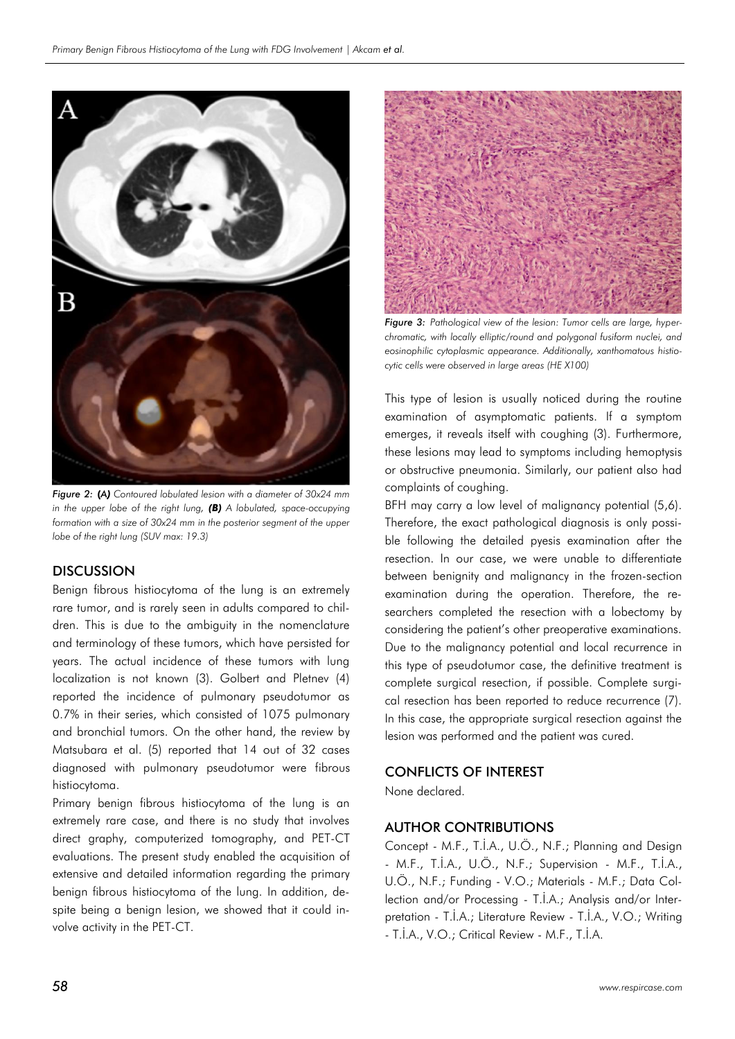

*Figure 2:* **(***A) Contoured lobulated lesion with a diameter of 30x24 mm in the upper lobe of the right lung, (B) A lobulated, space-occupying formation with a size of 30x24 mm in the posterior segment of the upper lobe of the right lung (SUV max: 19.3)*

## **DISCUSSION**

Benign fibrous histiocytoma of the lung is an extremely rare tumor, and is rarely seen in adults compared to children. This is due to the ambiguity in the nomenclature and terminology of these tumors, which have persisted for years. The actual incidence of these tumors with lung localization is not known (3). Golbert and Pletnev (4) reported the incidence of pulmonary pseudotumor as 0.7% in their series, which consisted of 1075 pulmonary and bronchial tumors. On the other hand, the review by Matsubara et al. (5) reported that 14 out of 32 cases diagnosed with pulmonary pseudotumor were fibrous histiocytoma.

Primary benign fibrous histiocytoma of the lung is an extremely rare case, and there is no study that involves direct graphy, computerized tomography, and PET-CT evaluations. The present study enabled the acquisition of extensive and detailed information regarding the primary benign fibrous histiocytoma of the lung. In addition, despite being a benign lesion, we showed that it could involve activity in the PET-CT.



**Figure 3:** Pathological view of the lesion: Tumor cells are large, hyper*chromatic, with locally elliptic/round and polygonal fusiform nuclei, and eosinophilic cytoplasmic appearance. Additionally, xanthomatous histiocytic cells were observed in large areas (HE X100)*

This type of lesion is usually noticed during the routine examination of asymptomatic patients. If a symptom emerges, it reveals itself with coughing (3). Furthermore, these lesions may lead to symptoms including hemoptysis or obstructive pneumonia. Similarly, our patient also had complaints of coughing.

BFH may carry a low level of malignancy potential (5,6). Therefore, the exact pathological diagnosis is only possible following the detailed pyesis examination after the resection. In our case, we were unable to differentiate between benignity and malignancy in the frozen-section examination during the operation. Therefore, the researchers completed the resection with a lobectomy by considering the patient's other preoperative examinations. Due to the malignancy potential and local recurrence in this type of pseudotumor case, the definitive treatment is complete surgical resection, if possible. Complete surgical resection has been reported to reduce recurrence (7). In this case, the appropriate surgical resection against the lesion was performed and the patient was cured.

## CONFLICTS OF INTEREST

None declared.

# AUTHOR CONTRIBUTIONS

Concept - M.F., T.İ.A., U.Ö., N.F.; Planning and Design - M.F., T.İ.A., U.Ö., N.F.; Supervision - M.F., T.İ.A., U.Ö., N.F.; Funding - V.O.; Materials - M.F.; Data Collection and/or Processing - T.İ.A.; Analysis and/or Interpretation - T.İ.A.; Literature Review - T.İ.A., V.O.; Writing - T.İ.A., V.O.; Critical Review - M.F., T.İ.A.